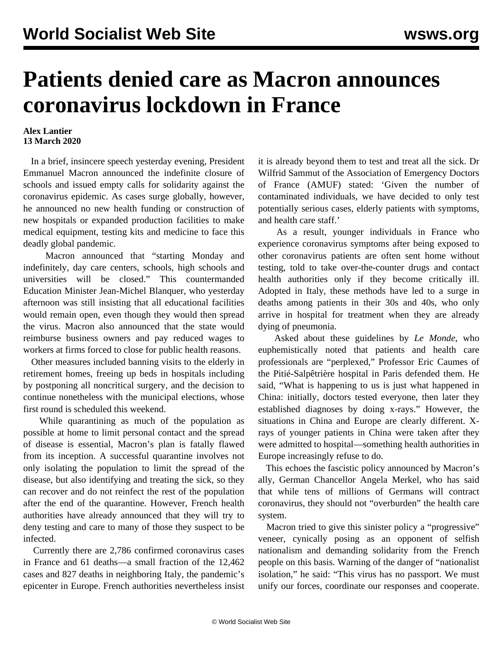## **Patients denied care as Macron announces coronavirus lockdown in France**

## **Alex Lantier 13 March 2020**

 In a brief, insincere speech yesterday evening, President Emmanuel Macron announced the indefinite closure of schools and issued empty calls for solidarity against the coronavirus epidemic. As cases surge globally, however, he announced no new health funding or construction of new hospitals or expanded production facilities to make medical equipment, testing kits and medicine to face this deadly global pandemic.

 Macron announced that "starting Monday and indefinitely, day care centers, schools, high schools and universities will be closed." This countermanded Education Minister Jean-Michel Blanquer, who yesterday afternoon was still insisting that all educational facilities would remain open, even though they would then spread the virus. Macron also announced that the state would reimburse business owners and pay reduced wages to workers at firms forced to close for public health reasons.

 Other measures included banning visits to the elderly in retirement homes, freeing up beds in hospitals including by postponing all noncritical surgery, and the decision to continue nonetheless with the municipal elections, whose first round is scheduled this weekend.

 While quarantining as much of the population as possible at home to limit personal contact and the spread of disease is essential, Macron's plan is fatally flawed from its inception. A successful quarantine involves not only isolating the population to limit the spread of the disease, but also identifying and treating the sick, so they can recover and do not reinfect the rest of the population after the end of the quarantine. However, French health authorities have already announced that they will try to deny testing and care to many of those they suspect to be infected.

 Currently there are 2,786 confirmed coronavirus cases in France and 61 deaths—a small fraction of the 12,462 cases and 827 deaths in neighboring Italy, the pandemic's epicenter in Europe. French authorities nevertheless insist it is already beyond them to test and treat all the sick. Dr Wilfrid Sammut of the Association of Emergency Doctors of France (AMUF) stated: 'Given the number of contaminated individuals, we have decided to only test potentially serious cases, elderly patients with symptoms, and health care staff.'

 As a result, younger individuals in France who experience coronavirus symptoms after being exposed to other coronavirus patients are often sent home without testing, told to take over-the-counter drugs and contact health authorities only if they become critically ill. Adopted in Italy, these methods have led to a surge in deaths among patients in their 30s and 40s, who only arrive in hospital for treatment when they are already dying of pneumonia.

 Asked about these guidelines by *Le Monde*, who euphemistically noted that patients and health care professionals are "perplexed," Professor Eric Caumes of the Pitié-Salpêtrière hospital in Paris defended them. He said, "What is happening to us is just what happened in China: initially, doctors tested everyone, then later they established diagnoses by doing x-rays." However, the situations in China and Europe are clearly different. Xrays of younger patients in China were taken after they were admitted to hospital—something health authorities in Europe increasingly refuse to do.

 This echoes the fascistic policy announced by Macron's ally, German Chancellor Angela Merkel, who has said that while tens of millions of Germans will contract coronavirus, they should not "overburden" the health care system.

Macron tried to give this sinister policy a "progressive" veneer, cynically posing as an opponent of selfish nationalism and demanding solidarity from the French people on this basis. Warning of the danger of "nationalist isolation," he said: "This virus has no passport. We must unify our forces, coordinate our responses and cooperate.